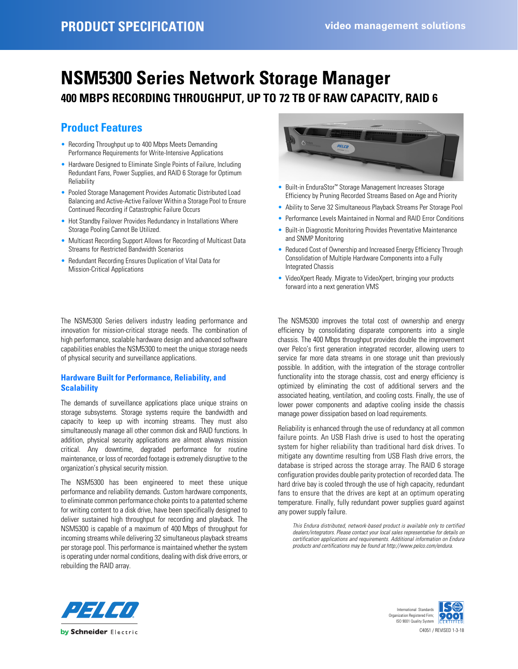# **NSM5300 Series Network Storage Manager 400 MBPS RECORDING THROUGHPUT, UP TO 72 TB OF RAW CAPACITY, RAID 6**

# **Product Features**

- Recording Throughput up to 400 Mbps Meets Demanding Performance Requirements for Write-Intensive Applications
- Hardware Designed to Eliminate Single Points of Failure, Including Redundant Fans, Power Supplies, and RAID 6 Storage for Optimum Reliability
- Pooled Storage Management Provides Automatic Distributed Load Balancing and Active-Active Failover Within a Storage Pool to Ensure Continued Recording if Catastrophic Failure Occurs
- Hot Standby Failover Provides Redundancy in Installations Where Storage Pooling Cannot Be Utilized.
- Multicast Recording Support Allows for Recording of Multicast Data Streams for Restricted Bandwidth Scenarios
- Redundant Recording Ensures Duplication of Vital Data for Mission-Critical Applications

The NSM5300 Series delivers industry leading performance and innovation for mission-critical storage needs. The combination of high performance, scalable hardware design and advanced software capabilities enables the NSM5300 to meet the unique storage needs of physical security and surveillance applications.

## **Hardware Built for Performance, Reliability, and Scalability**

The demands of surveillance applications place unique strains on storage subsystems. Storage systems require the bandwidth and capacity to keep up with incoming streams. They must also simultaneously manage all other common disk and RAID functions. In addition, physical security applications are almost always mission critical. Any downtime, degraded performance for routine maintenance, or loss of recorded footage is extremely disruptive to the organization's physical security mission.

The NSM5300 has been engineered to meet these unique performance and reliability demands. Custom hardware components, to eliminate common performance choke points to a patented scheme for writing content to a disk drive, have been specifically designed to deliver sustained high throughput for recording and playback. The NSM5300 is capable of a maximum of 400 Mbps of throughput for incoming streams while delivering 32 simultaneous playback streams per storage pool. This performance is maintained whether the system is operating under normal conditions, dealing with disk drive errors, or rebuilding the RAID array.



- Built-in EnduraStor™ Storage Management Increases Storage Efficiency by Pruning Recorded Streams Based on Age and Priority
- Ability to Serve 32 Simultaneous Playback Streams Per Storage Pool
- Performance Levels Maintained in Normal and RAID Error Conditions
- Built-in Diagnostic Monitoring Provides Preventative Maintenance and SNMP Monitoring
- Reduced Cost of Ownership and Increased Energy Efficiency Through Consolidation of Multiple Hardware Components into a Fully Integrated Chassis
- VideoXpert Ready. Migrate to VideoXpert, bringing your products forward into a next generation VMS

The NSM5300 improves the total cost of ownership and energy efficiency by consolidating disparate components into a single chassis. The 400 Mbps throughput provides double the improvement over Pelco's first generation integrated recorder, allowing users to service far more data streams in one storage unit than previously possible. In addition, with the integration of the storage controller functionality into the storage chassis, cost and energy efficiency is optimized by eliminating the cost of additional servers and the associated heating, ventilation, and cooling costs. Finally, the use of lower power components and adaptive cooling inside the chassis manage power dissipation based on load requirements.

Reliability is enhanced through the use of redundancy at all common failure points. An USB Flash drive is used to host the operating system for higher reliability than traditional hard disk drives. To mitigate any downtime resulting from USB Flash drive errors, the database is striped across the storage array. The RAID 6 storage configuration provides double parity protection of recorded data. The hard drive bay is cooled through the use of high capacity, redundant fans to ensure that the drives are kept at an optimum operating temperature. Finally, fully redundant power supplies guard against any power supply failure.

*[This Endura distributed, network-based product is available only to certified](http://www.pelco.com/endura) [dealers/integrators. Please contact your local sales representative for details on](http://www.pelco.com/endura) certification applications and requirements. Additional information on Endura [products and certifications may be found at http://www.pelco.com/endura.](http://www.pelco.com/endura)*



C4051 / REVISED 1-3-18 International Standards Organization Registered Firm; ISO 9001 Quality System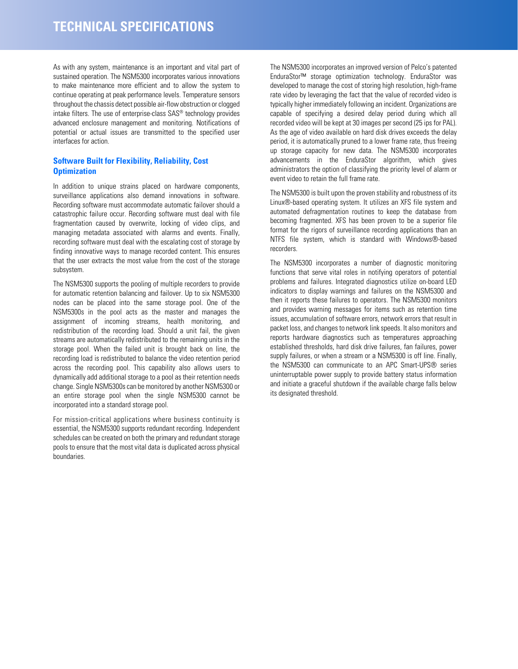As with any system, maintenance is an important and vital part of sustained operation. The NSM5300 incorporates various innovations to make maintenance more efficient and to allow the system to continue operating at peak performance levels. Temperature sensors throughout the chassis detect possible air-flow obstruction or clogged intake filters. The use of enterprise-class SAS® technology provides advanced enclosure management and monitoring. Notifications of potential or actual issues are transmitted to the specified user interfaces for action.

### **Software Built for Flexibility, Reliability, Cost Optimization**

In addition to unique strains placed on hardware components, surveillance applications also demand innovations in software. Recording software must accommodate automatic failover should a catastrophic failure occur. Recording software must deal with file fragmentation caused by overwrite, locking of video clips, and managing metadata associated with alarms and events. Finally, recording software must deal with the escalating cost of storage by finding innovative ways to manage recorded content. This ensures that the user extracts the most value from the cost of the storage subsystem.

The NSM5300 supports the pooling of multiple recorders to provide for automatic retention balancing and failover. Up to six NSM5300 nodes can be placed into the same storage pool. One of the NSM5300s in the pool acts as the master and manages the assignment of incoming streams, health monitoring, and redistribution of the recording load. Should a unit fail, the given streams are automatically redistributed to the remaining units in the storage pool. When the failed unit is brought back on line, the recording load is redistributed to balance the video retention period across the recording pool. This capability also allows users to dynamically add additional storage to a pool as their retention needs change. Single NSM5300s can be monitored by another NSM5300 or an entire storage pool when the single NSM5300 cannot be incorporated into a standard storage pool.

For mission-critical applications where business continuity is essential, the NSM5300 supports redundant recording. Independent schedules can be created on both the primary and redundant storage pools to ensure that the most vital data is duplicated across physical boundaries.

The NSM5300 incorporates an improved version of Pelco's patented EnduraStor™ storage optimization technology. EnduraStor was developed to manage the cost of storing high resolution, high-frame rate video by leveraging the fact that the value of recorded video is typically higher immediately following an incident. Organizations are capable of specifying a desired delay period during which all recorded video will be kept at 30 images per second (25 ips for PAL). As the age of video available on hard disk drives exceeds the delay period, it is automatically pruned to a lower frame rate, thus freeing up storage capacity for new data. The NSM5300 incorporates advancements in the EnduraStor algorithm, which gives administrators the option of classifying the priority level of alarm or event video to retain the full frame rate.

The NSM5300 is built upon the proven stability and robustness of its Linux®-based operating system. It utilizes an XFS file system and automated defragmentation routines to keep the database from becoming fragmented. XFS has been proven to be a superior file format for the rigors of surveillance recording applications than an NTFS file system, which is standard with Windows®-based recorders.

The NSM5300 incorporates a number of diagnostic monitoring functions that serve vital roles in notifying operators of potential problems and failures. Integrated diagnostics utilize on-board LED indicators to display warnings and failures on the NSM5300 and then it reports these failures to operators. The NSM5300 monitors and provides warning messages for items such as retention time issues, accumulation of software errors, network errors that result in packet loss, and changes to network link speeds. It also monitors and reports hardware diagnostics such as temperatures approaching established thresholds, hard disk drive failures, fan failures, power supply failures, or when a stream or a NSM5300 is off line. Finally, the NSM5300 can communicate to an APC Smart-UPS® series uninterruptable power supply to provide battery status information and initiate a graceful shutdown if the available charge falls below its designated threshold.